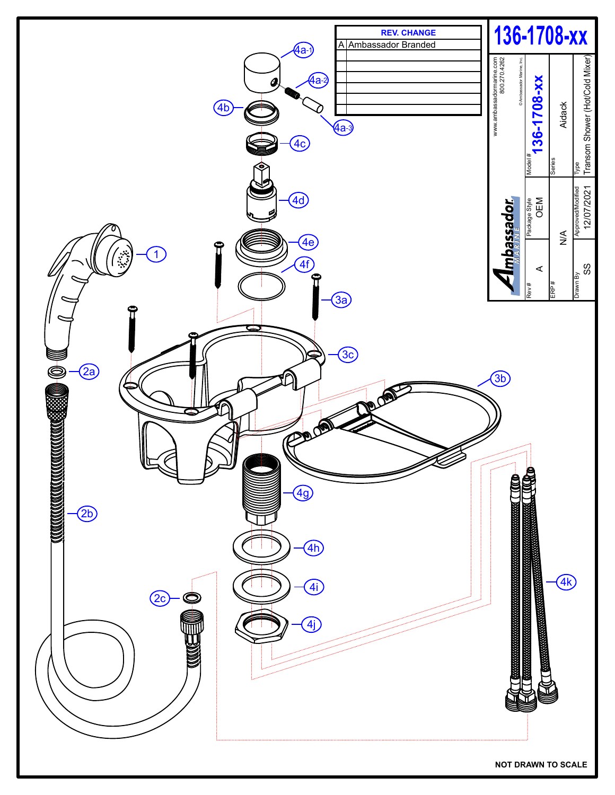

**NOT DRAWN TO SCALE**